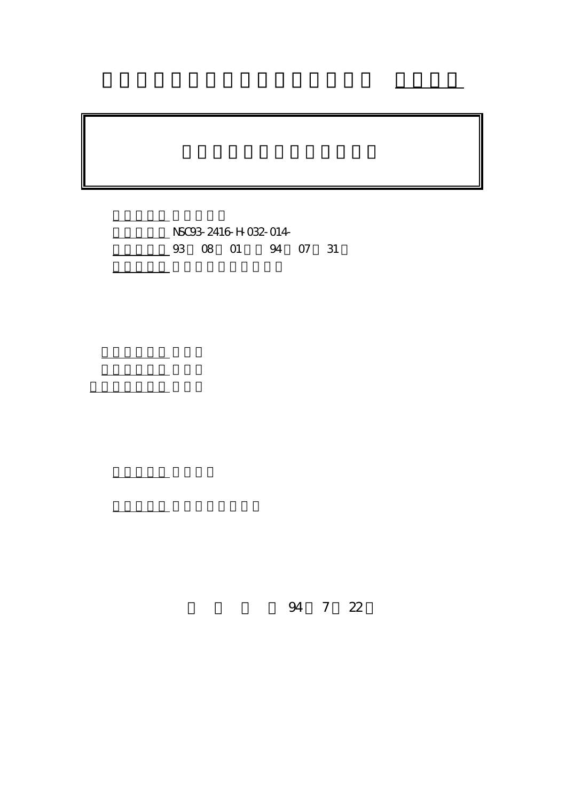NSC93-2416-H-032-014-4 07 31

計畫主持人: 謝文良

共同主持人: 林允永 計畫參與人員: 曲靜芳

。<br>在前書 : 本計畫可公開查

行政院國家科學委員會專題研究計畫 成果報告

94 7 22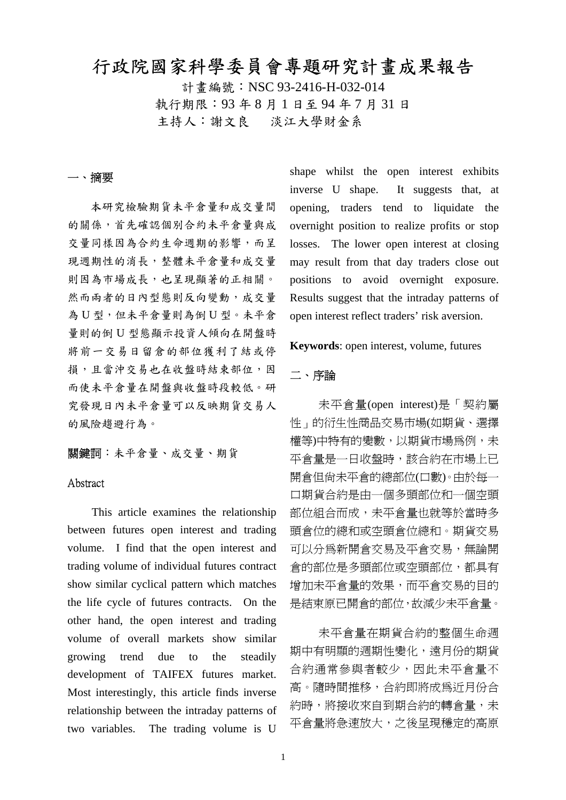# 行政院國家科學委員會專題研究計畫成果報告

計書編號: NSC 93-2416-H-032-014 執行期限:93 年 8 月 1 日至 94 年 7 月 31 日 主持人:謝文良 淡江大學財金系

## 一、摘要

本研究檢驗期貨未平倉量和成交量間 的關係,首先確認個別合約未平倉量與成 交量同樣因為合約生命週期的影響,而呈 現週期性的消長,整體未平倉量和成交量 則因為市場成長,也呈現顯著的正相關。 然而兩者的日內型態則反向變動,成交量 為 U 型,但未平倉量則為倒 U 型。未平倉 量則的倒 U 型態顯示投資人傾向在開盤時 將前一交易日留倉的部位獲利了結或停 捐,且當沖交易也在收盤時結束部位,因 而使未平倉量在開盤與收盤時段較低。研 究發現日內未平倉量可以反映期貨交易人 的風險趨避行為。

關鍵詞:未平倉量、成交量、期貨

#### Abstract

This article examines the relationship between futures open interest and trading volume. I find that the open interest and trading volume of individual futures contract show similar cyclical pattern which matches the life cycle of futures contracts. On the other hand, the open interest and trading volume of overall markets show similar growing trend due to the steadily development of TAIFEX futures market. Most interestingly, this article finds inverse relationship between the intraday patterns of two variables. The trading volume is U

shape whilst the open interest exhibits inverse U shape. It suggests that, at opening, traders tend to liquidate the overnight position to realize profits or stop losses. The lower open interest at closing may result from that day traders close out positions to avoid overnight exposure. Results suggest that the intraday patterns of open interest reflect traders' risk aversion.

**Keywords**: open interest, volume, futures

#### 二、序論

未平倉量(open interest)是「契約屬 性」的衍生性商品交易市場(如期貨、選擇 權等)中特有的變數,以期貨市場為例,未 平倉量是一日收盤時,該合約在市場上已 開倉但尚未平倉的總部位(口數)。由於每一 口期貨合約是由一個多頭部位和一個空頭 部位組合而成,未平倉量也就等於當時多 頭倉位的總和或空頭倉位總和。期貨交易 可以分為新開倉交易及平倉交易,無論開 倉的部位是多頭部位或空頭部位,都具有 增加未平倉量的效果,而平倉交易的目的 是結束原已開倉的部位,故減少未平倉量。

未平倉量在期貨合約的整個生命週 期中有明顯的週期性變化,遠月份的期貨 合約通常參與者較少,因此未平倉量不 高。隨時間推移,合約即將成為近月份合 約時,將接收來自到期合約的轉倉量,未 平倉量將急速放大,之後呈現穩定的高原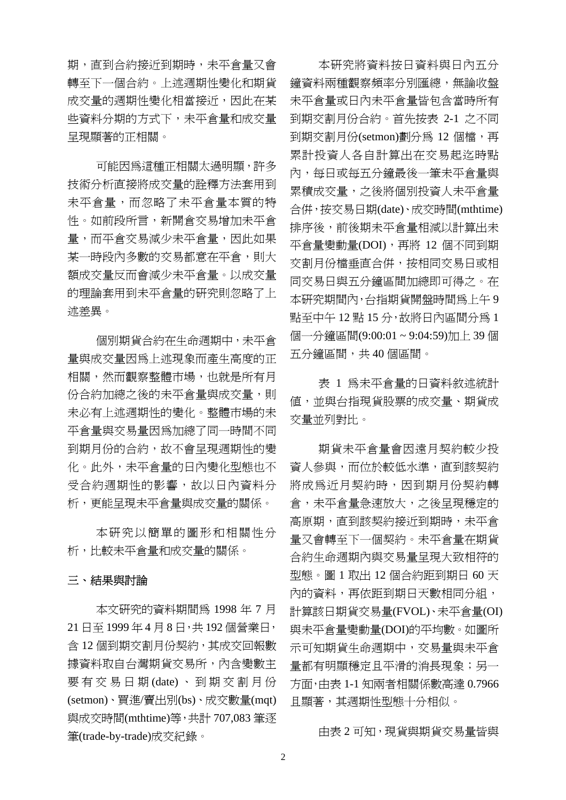期,直到合約接近到期時,未平倉量又會 轉至下一個合約。上述週期性變化和期貨 成交量的週期性變化相當接近,因此在某 些資料分期的方式下,未平倉量和成交量 呈現顯著的正相關。

可能因為這種正相關太過明顯,許多 技術分析直接將成交量的詮釋方法套用到 未平倉量,而忽略了未平倉量本質的特 性。如前段所言,新開倉交易增加未平倉 量,而平倉交易減少未平倉量,因此如果 某一時段內多數的交易都意在平倉,則大 額成交量反而會減少未平倉量。以成交量 的理論套用到未平倉量的研究則忽略了上 述差異。

個別期貨合約在生命週期中,未平倉 量與成交量因為上述現象而產生高度的正 相關,然而觀察整體市場,也就是所有月 份合約加總之後的未平倉量與成交量,則 未必有上述週期性的變化。整體市場的未 平倉量與交易量因為加總了同一時間不同 到期月份的合約,故不會呈現週期性的變 化。此外,未平倉量的日內變化型態也不 受合約週期性的影響,故以日內資料分 析,更能呈現未平倉量與成交量的關係。

本研究以簡單的圖形和相關性分 析,比較未平倉量和成交量的關係。

#### 三、結果與討論

本文研究的資料期間為 1998 年 7 月 21 日至 1999 年 4 月 8 日,共 192 個營業日, 含 12 個到期交割月份契約,其成交回報數 據資料取自台灣期貨交易所,內含變數主 要有交易日期 (date) 、到期交割月份 (setmon)、買進/賣出別(bs)、成交數量(mqt) 與成交時間(mthtime)等,共計 707,083 筆逐 筆(trade-by-trade)成交紀錄。

本研究將資料按日資料與日內五分 鐘資料兩種觀察頻率分別匯總,無論收盤 未平倉量或日內未平倉量皆包含當時所有 到期交割月份合約。首先按表 2-1 之不同 到期交割月份(setmon)劃分為 12個檔,再 累計投資人各自計算出在交易起迄時點 內,每日或每五分鐘最後一筆未平倉量與 累積成交量,之後將個別投資人未平倉量 合併,按交易日期(date)、成交時間(mthtime) 排序後,前後期未平倉量相減以計算出未 平倉量變動量(DOI),再將 12 個不同到期 交割月份檔垂直合併,按相同交易日或相 同交易日與五分鐘區間加總即可得之。在 本研究期間內,台指期貨開盤時間為上午 9 點至中午 12 點 15 分,故將日內區間分為 1 個一分鐘區間(9:00:01 ~ 9:04:59)加上 39 個 五分鐘區間,共 40 個區間。

表 1 為未平倉量的日資料敘述統計 值,並與台指現貨股票的成交量、期貨成 交量並列對比。

期貨未平倉量會因遠月契約較少投 資人參與,而位於較低水準,直到該契約 將成為近月契約時,因到期月份契約轉 倉,未平倉量急速放大,之後呈現穩定的 高原期,直到該契約接近到期時,未平倉 量又會轉至下一個契約。未平倉量在期貨 合約生命週期內與交易量呈現大致相符的 型態。圖 1 取出 12 個合約距到期日 60 天 內的資料,再依距到期日天數相同分組, 計算該日期貨交易量(FVOL)、未平倉量(OI) 與未平倉量變動量(DOI)的平均數。如圖所 示可知期貨生命週期中,交易量與未平倉 量都有明顯穩定且平滑的消長現象;另一 方面,由表 1-1 知兩者相關係數高達 0.7966 且顯著,其週期性型態十分相似。

由表 2 可知, 現貨與期貨交易量皆與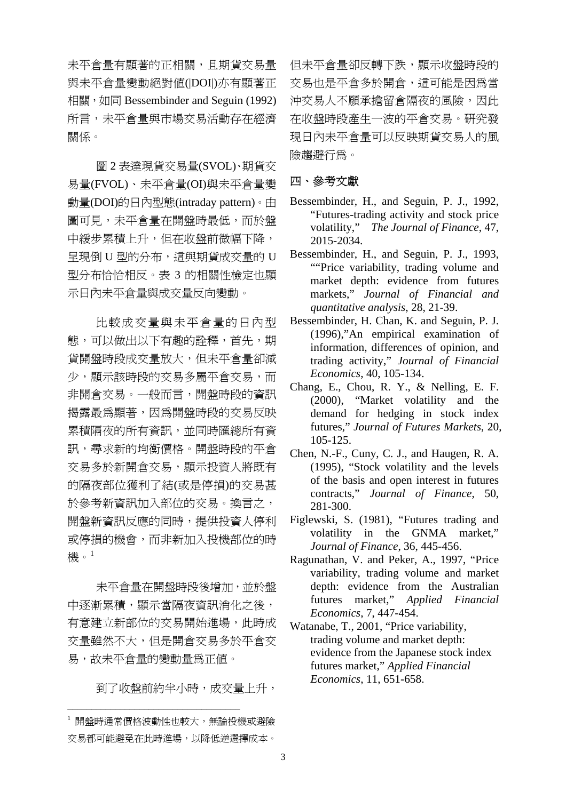未平倉量有顯著的正相關,且期貨交易量 與未平倉量變動絕對值(|DOI|)亦有顯著正 相關, 如同 Bessembinder and Seguin (1992) 所言,未平倉量與市場交易活動存在經濟 關係。

圖 2 表達現貨交易量(SVOL)、期貨交 易量(FVOL)、未平倉量(OI)與未平倉量變 動量(DOI)的日內型態(intraday pattern)。由 圖可見,未平倉量在開盤時最低,而於盤 中緩步累積上升,但在收盤前微幅下降, 呈現倒 U 型的分布,這與期貨成交量的 U 型分布恰恰相反。表 3 的相關性檢定也顯 示日內未平倉量與成交量反向變動。

比較成交量與未平倉量的日內型 態,可以做出以下有趣的詮釋,首先,期 貨開盤時段成交量放大,但未平倉量卻減 少,顯示該時段的交易多屬平倉交易,而 非開倉交易。一般而言,開盤時段的資訊 揭露最為顯著,因為開盤時段的交易反映 累積隔夜的所有資訊,並同時匯總所有資 訊,尋求新的均衡價格。開盤時段的平倉 交易多於新開倉交易,顯示投資人將既有 的隔夜部位獲利了結(或是停損)的交易甚 於參考新資訊加入部位的交易。換言之, 開盤新資訊反應的同時,提供投資人停利 或停損的機會,而非新加入投機部位的時 機。<sup>1</sup>

未平倉量在開盤時段後增加,並於盤 中逐漸累積,顯示當隔夜資訊消化之後, 有意建立新部位的交易開始進場,此時成 交量雖然不大,但是開倉交易多於平倉交 易,故未平倉量的變動量為正值。

到了收盤前約半小時,成交量上升,

\_\_\_\_\_\_\_\_\_\_\_\_\_\_\_\_\_\_\_\_\_\_\_\_\_\_\_\_\_\_\_\_\_\_\_\_

但未平倉量卻反轉下跌,顯示收盤時段的 交易也是平倉多於開倉,這可能是因為當 沖交易人不願承擔留倉隔夜的風險,因此 在收盤時段產生一波的平倉交易。研究發 現日內未平倉量可以反映期貨交易人的風 險趨避行為。

#### 四、參考文獻

- Bessembinder, H., and Seguin, P. J., 1992, "Futures-trading activity and stock price volatility," *The Journal of Finance*, 47, 2015-2034.
- Bessembinder, H., and Seguin, P. J., 1993, ""Price variability, trading volume and market depth: evidence from futures markets," *Journal of Financial and quantitative analysis*, 28, 21-39.
- Bessembinder, H. Chan, K. and Seguin, P. J. (1996),"An empirical examination of information, differences of opinion, and trading activity," *Journal of Financial Economics*, 40, 105-134.
- Chang, E., Chou, R. Y., & Nelling, E. F. (2000), "Market volatility and the demand for hedging in stock index futures," *Journal of Futures Markets*, 20, 105-125.
- Chen, N.-F., Cuny, C. J., and Haugen, R. A. (1995), "Stock volatility and the levels of the basis and open interest in futures contracts," *Journal of Finance*, 50, 281-300.
- Figlewski, S. (1981), "Futures trading and volatility in the GNMA market," *Journal of Finance*, 36, 445-456.
- Ragunathan, V. and Peker, A., 1997, "Price variability, trading volume and market depth: evidence from the Australian futures market," *Applied Financial Economics*, 7, 447-454.
- Watanabe, T., 2001, "Price variability, trading volume and market depth: evidence from the Japanese stock index futures market," *Applied Financial Economics*, 11, 651-658.

<sup>1</sup> 開盤時通常價格波動性也較大,無論投機或避險 交易都可能避免在此時進場,以降低逆選擇成本。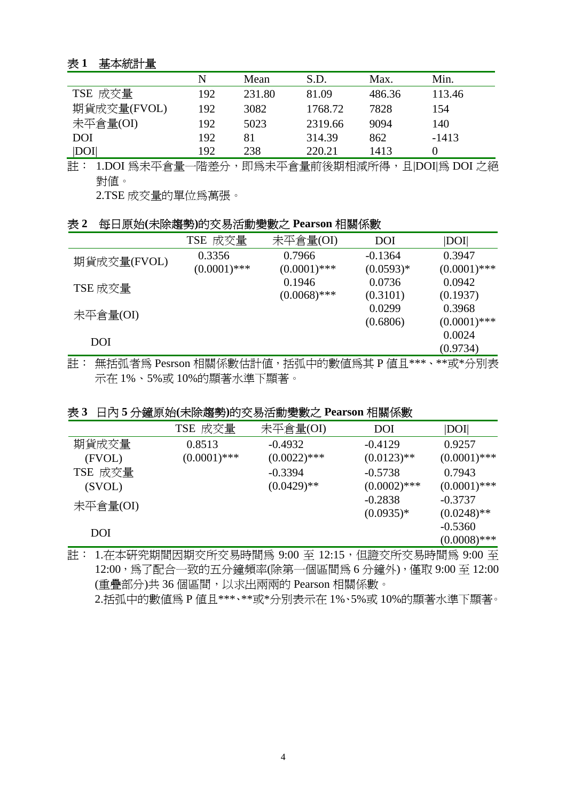# 表 **1** 基本統計量

|             | N   | Mean   | S.D.    | Max.   | Min.    |
|-------------|-----|--------|---------|--------|---------|
| TSE 成交量     | 192 | 231.80 | 81.09   | 486.36 | 113.46  |
| 期貨成交量(FVOL) | 192 | 3082   | 1768.72 | 7828   | 154     |
| 未平倉量(OI)    | 192 | 5023   | 2319.66 | 9094   | 140     |
| DOI         | 192 | 81     | 314.39  | 862    | $-1413$ |
| DOI         | 192 | 238    | 220.21  | 1413   |         |

註: 1.DOI 為未平倉量一階差分,即為未平倉量前後期相減所得,且|DOI|為 DOI 之絕 對值。

2.TSE 成交量的單位為萬張。

#### 表 **2** 每日原始**(**未除趨勢**)**的交易活動變數之 **Pearson** 相關係數

|             | TSE 成交量        | 未平倉量(OI)       | <b>DOI</b>  | DOI            |
|-------------|----------------|----------------|-------------|----------------|
| 期貨成交量(FVOL) | 0.3356         | 0.7966         | $-0.1364$   | 0.3947         |
|             | $(0.0001)$ *** | $(0.0001)$ *** | $(0.0593)*$ | $(0.0001)$ *** |
| TSE 成交量     |                | 0.1946         | 0.0736      | 0.0942         |
|             |                | $(0.0068)$ *** | (0.3101)    | (0.1937)       |
| 未平倉量(OI)    |                |                | 0.0299      | 0.3968         |
|             |                |                | (0.6806)    | $(0.0001)$ *** |
| DOI         |                |                |             | 0.0024         |
|             |                |                |             | (0.9734)       |

註: 無括弧者為 Pesrson 相關係數估計值,括弧中的數值為其 P 值且\*\*\*、\*\*或\*分別表 示在 1%、5%或 10%的顯著水準下顯著。

## 表 **3** 日內 **5** 分鐘原始**(**未除趨勢**)**的交易活動變數之 **Pearson** 相關係數

|            | TSE 成交量        | 未平倉量(OI)       | <b>DOI</b>     | DOI            |
|------------|----------------|----------------|----------------|----------------|
| 期貨成交量      | 0.8513         | $-0.4932$      | $-0.4129$      | 0.9257         |
| (FVOL)     | $(0.0001)$ *** | $(0.0022)$ *** | $(0.0123)$ **  | $(0.0001)$ *** |
| TSE 成交量    |                | $-0.3394$      | $-0.5738$      | 0.7943         |
| (SVOL)     |                | $(0.0429)$ **  | $(0.0002)$ *** | $(0.0001)$ *** |
| 未平倉量(OI)   |                |                | $-0.2838$      | $-0.3737$      |
|            |                |                | $(0.0935)*$    | $(0.0248)$ **  |
| <b>DOI</b> |                |                |                | $-0.5360$      |
|            |                |                |                | $(0.0008)$ *** |

註: 1.在本研究期間因期交所交易時間為 9:00 至 12:15,但證交所交易時間為 9:00 至 12:00,為了配合一致的五分鐘頻率(除第一個區間為 6 分鐘外),僅取 9:00 至 12:00 (重疊部分)共 36 個區間,以求出兩兩的 Pearson 相關係數。

2.括弧中的數值為 P 值且\*\*\*、\*\*或\*分別表示在 1%、5%或 10%的顯著水準下顯著。